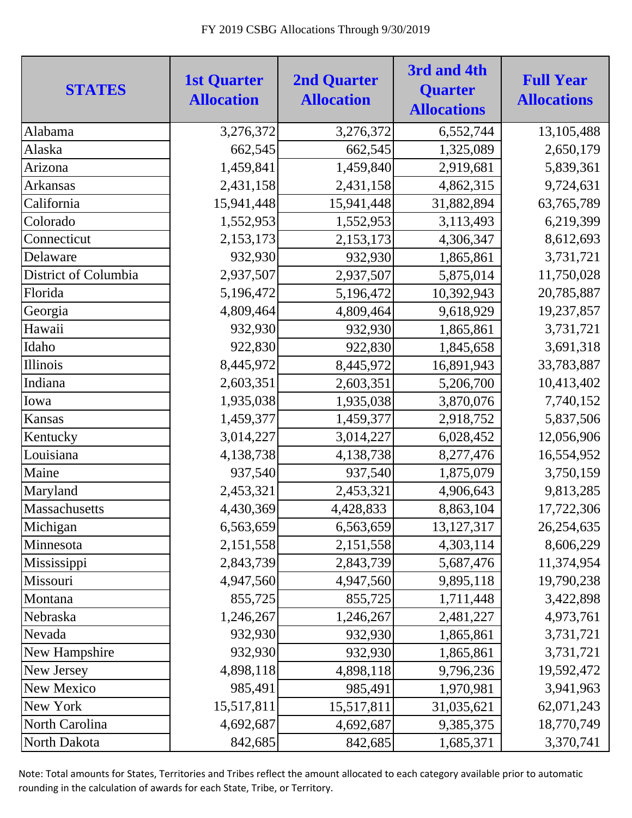| <b>STATES</b>        | <b>1st Quarter</b><br><b>Allocation</b> | <b>2nd Quarter</b><br><b>Allocation</b> | 3rd and 4th<br><b>Quarter</b><br><b>Allocations</b> | <b>Full Year</b><br><b>Allocations</b> |
|----------------------|-----------------------------------------|-----------------------------------------|-----------------------------------------------------|----------------------------------------|
| Alabama              | 3,276,372                               | 3,276,372                               | 6,552,744                                           | 13,105,488                             |
| Alaska               | 662,545                                 | 662,545                                 | 1,325,089                                           | 2,650,179                              |
| Arizona              | 1,459,841                               | 1,459,840                               | 2,919,681                                           | 5,839,361                              |
| Arkansas             | 2,431,158                               | 2,431,158                               | 4,862,315                                           | 9,724,631                              |
| California           | 15,941,448                              | 15,941,448                              | 31,882,894                                          | 63,765,789                             |
| Colorado             | 1,552,953                               | 1,552,953                               | 3,113,493                                           | 6,219,399                              |
| Connecticut          | 2,153,173                               | 2,153,173                               | 4,306,347                                           | 8,612,693                              |
| Delaware             | 932,930                                 | 932,930                                 | 1,865,861                                           | 3,731,721                              |
| District of Columbia | 2,937,507                               | 2,937,507                               | 5,875,014                                           | 11,750,028                             |
| Florida              | 5,196,472                               | 5,196,472                               | 10,392,943                                          | 20,785,887                             |
| Georgia              | 4,809,464                               | 4,809,464                               | 9,618,929                                           | 19,237,857                             |
| Hawaii               | 932,930                                 | 932,930                                 | 1,865,861                                           | 3,731,721                              |
| Idaho                | 922,830                                 | 922,830                                 | 1,845,658                                           | 3,691,318                              |
| Illinois             | 8,445,972                               | 8,445,972                               | 16,891,943                                          | 33,783,887                             |
| Indiana              | 2,603,351                               | 2,603,351                               | 5,206,700                                           | 10,413,402                             |
| Iowa                 | 1,935,038                               | 1,935,038                               | 3,870,076                                           | 7,740,152                              |
| Kansas               | 1,459,377                               | 1,459,377                               | 2,918,752                                           | 5,837,506                              |
| Kentucky             | 3,014,227                               | 3,014,227                               | 6,028,452                                           | 12,056,906                             |
| Louisiana            | 4,138,738                               | 4,138,738                               | 8,277,476                                           | 16,554,952                             |
| Maine                | 937,540                                 | 937,540                                 | 1,875,079                                           | 3,750,159                              |
| Maryland             | 2,453,321                               | 2,453,321                               | 4,906,643                                           | 9,813,285                              |
| Massachusetts        | 4,430,369                               | 4,428,833                               | 8,863,104                                           | 17,722,306                             |
| Michigan             | 6,563,659                               | 6,563,659                               | 13, 127, 317                                        | 26,254,635                             |
| Minnesota            | 2,151,558                               | 2,151,558                               | 4,303,114                                           | 8,606,229                              |
| Mississippi          | 2,843,739                               | 2,843,739                               | 5,687,476                                           | 11,374,954                             |
| Missouri             | 4,947,560                               | 4,947,560                               | 9,895,118                                           | 19,790,238                             |
| Montana              | 855,725                                 | 855,725                                 | 1,711,448                                           | 3,422,898                              |
| Nebraska             | 1,246,267                               | 1,246,267                               | 2,481,227                                           | 4,973,761                              |
| Nevada               | 932,930                                 | 932,930                                 | 1,865,861                                           | 3,731,721                              |
| New Hampshire        | 932,930                                 | 932,930                                 | 1,865,861                                           | 3,731,721                              |
| New Jersey           | 4,898,118                               | 4,898,118                               | 9,796,236                                           | 19,592,472                             |
| New Mexico           | 985,491                                 | 985,491                                 | 1,970,981                                           | 3,941,963                              |
| New York             | 15,517,811                              | 15,517,811                              | 31,035,621                                          | 62,071,243                             |
| North Carolina       | 4,692,687                               | 4,692,687                               | 9,385,375                                           | 18,770,749                             |
| North Dakota         | 842,685                                 | 842,685                                 | 1,685,371                                           | 3,370,741                              |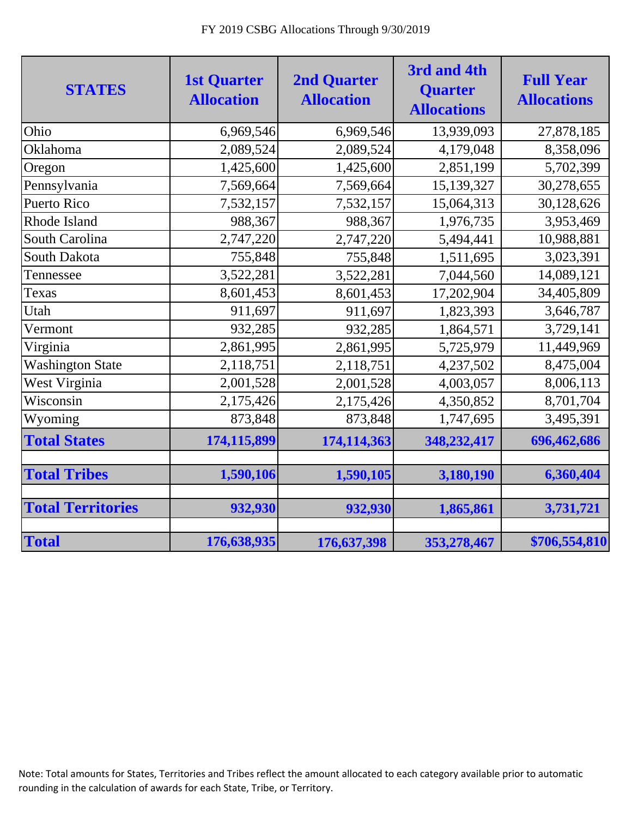| <b>STATES</b>            | <b>1st Quarter</b><br><b>Allocation</b> | <b>2nd Quarter</b><br><b>Allocation</b> | 3rd and 4th<br><b>Quarter</b><br><b>Allocations</b> | <b>Full Year</b><br><b>Allocations</b> |
|--------------------------|-----------------------------------------|-----------------------------------------|-----------------------------------------------------|----------------------------------------|
| Ohio                     | 6,969,546                               | 6,969,546                               | 13,939,093                                          | 27,878,185                             |
| Oklahoma                 | 2,089,524                               | 2,089,524                               | 4,179,048                                           | 8,358,096                              |
| Oregon                   | 1,425,600                               | 1,425,600                               | 2,851,199                                           | 5,702,399                              |
| Pennsylvania             | 7,569,664                               | 7,569,664                               | 15,139,327                                          | 30,278,655                             |
| <b>Puerto Rico</b>       | 7,532,157                               | 7,532,157                               | 15,064,313                                          | 30,128,626                             |
| Rhode Island             | 988,367                                 | 988,367                                 | 1,976,735                                           | 3,953,469                              |
| South Carolina           | 2,747,220                               | 2,747,220                               | 5,494,441                                           | 10,988,881                             |
| South Dakota             | 755,848                                 | 755,848                                 | 1,511,695                                           | 3,023,391                              |
| Tennessee                | 3,522,281                               | 3,522,281                               | 7,044,560                                           | 14,089,121                             |
| Texas                    | 8,601,453                               | 8,601,453                               | 17,202,904                                          | 34,405,809                             |
| Utah                     | 911,697                                 | 911,697                                 | 1,823,393                                           | 3,646,787                              |
| Vermont                  | 932,285                                 | 932,285                                 | 1,864,571                                           | 3,729,141                              |
| Virginia                 | 2,861,995                               | 2,861,995                               | 5,725,979                                           | 11,449,969                             |
| <b>Washington State</b>  | 2,118,751                               | 2,118,751                               | 4,237,502                                           | 8,475,004                              |
| West Virginia            | 2,001,528                               | 2,001,528                               | 4,003,057                                           | 8,006,113                              |
| Wisconsin                | 2,175,426                               | 2,175,426                               | 4,350,852                                           | 8,701,704                              |
| Wyoming                  | 873,848                                 | 873,848                                 | 1,747,695                                           | 3,495,391                              |
| <b>Total States</b>      | 174,115,899                             | 174,114,363                             | 348,232,417                                         | 696,462,686                            |
|                          |                                         |                                         |                                                     |                                        |
| <b>Total Tribes</b>      | 1,590,106                               | 1,590,105                               | 3,180,190                                           | 6,360,404                              |
| <b>Total Territories</b> | 932,930                                 | 932,930                                 | 1,865,861                                           | 3,731,721                              |
| <b>Total</b>             | 176,638,935                             | 176,637,398                             | 353,278,467                                         | \$706,554,810                          |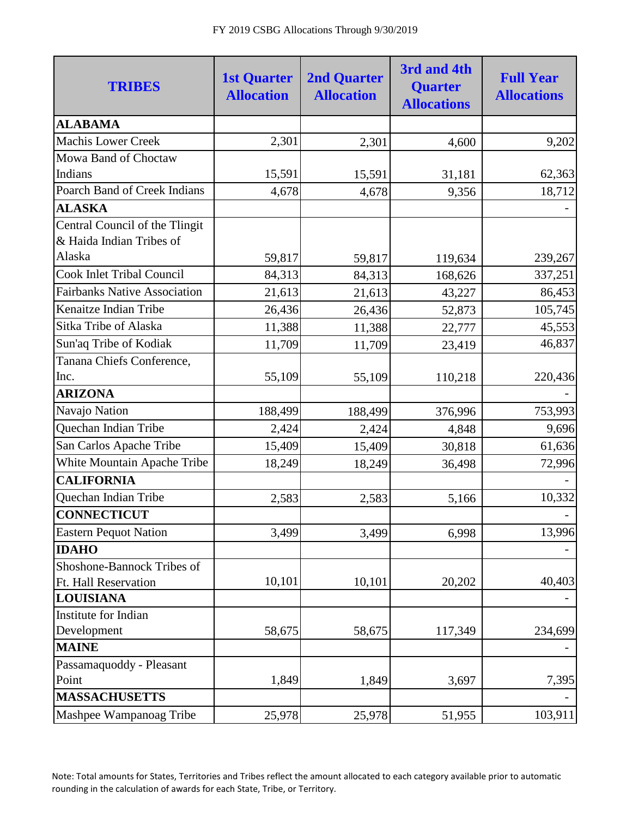| <b>TRIBES</b>                                              | <b>1st Quarter</b><br><b>Allocation</b> | <b>2nd Quarter</b><br><b>Allocation</b> | 3rd and 4th<br><b>Quarter</b><br><b>Allocations</b> | <b>Full Year</b><br><b>Allocations</b> |
|------------------------------------------------------------|-----------------------------------------|-----------------------------------------|-----------------------------------------------------|----------------------------------------|
| <b>ALABAMA</b>                                             |                                         |                                         |                                                     |                                        |
| <b>Machis Lower Creek</b>                                  | 2,301                                   | 2,301                                   | 4,600                                               | 9,202                                  |
| Mowa Band of Choctaw                                       |                                         |                                         |                                                     |                                        |
| Indians                                                    | 15,591                                  | 15,591                                  | 31,181                                              | 62,363                                 |
| Poarch Band of Creek Indians                               | 4,678                                   | 4,678                                   | 9,356                                               | 18,712                                 |
| <b>ALASKA</b>                                              |                                         |                                         |                                                     |                                        |
| Central Council of the Tlingit<br>& Haida Indian Tribes of |                                         |                                         |                                                     |                                        |
| Alaska                                                     | 59,817                                  | 59,817                                  | 119,634                                             | 239,267                                |
| <b>Cook Inlet Tribal Council</b>                           | 84,313                                  | 84,313                                  | 168,626                                             | 337,251                                |
| <b>Fairbanks Native Association</b>                        | 21,613                                  | 21,613                                  | 43,227                                              | 86,453                                 |
| Kenaitze Indian Tribe                                      | 26,436                                  | 26,436                                  | 52,873                                              | 105,745                                |
| Sitka Tribe of Alaska                                      | 11,388                                  | 11,388                                  | 22,777                                              | 45,553                                 |
| Sun'aq Tribe of Kodiak                                     | 11,709                                  | 11,709                                  | 23,419                                              | 46,837                                 |
| Tanana Chiefs Conference,                                  |                                         |                                         |                                                     |                                        |
| Inc.                                                       | 55,109                                  | 55,109                                  | 110,218                                             | 220,436                                |
| <b>ARIZONA</b>                                             |                                         |                                         |                                                     |                                        |
| Navajo Nation                                              | 188,499                                 | 188,499                                 | 376,996                                             | 753,993                                |
| Quechan Indian Tribe                                       | 2,424                                   | 2,424                                   | 4,848                                               | 9,696                                  |
| San Carlos Apache Tribe                                    | 15,409                                  | 15,409                                  | 30,818                                              | 61,636                                 |
| White Mountain Apache Tribe                                | 18,249                                  | 18,249                                  | 36,498                                              | 72,996                                 |
| <b>CALIFORNIA</b>                                          |                                         |                                         |                                                     |                                        |
| Quechan Indian Tribe                                       | 2,583                                   | 2,583                                   | 5,166                                               | 10,332                                 |
| <b>CONNECTICUT</b>                                         |                                         |                                         |                                                     |                                        |
| <b>Eastern Pequot Nation</b>                               | 3,499                                   | 3,499                                   | 6,998                                               | 13,996                                 |
| <b>IDAHO</b>                                               |                                         |                                         |                                                     |                                        |
| Shoshone-Bannock Tribes of                                 |                                         |                                         |                                                     |                                        |
| Ft. Hall Reservation                                       | 10,101                                  | 10,101                                  | 20,202                                              | 40,403                                 |
| <b>LOUISIANA</b>                                           |                                         |                                         |                                                     |                                        |
| Institute for Indian                                       |                                         |                                         |                                                     |                                        |
| Development                                                | 58,675                                  | 58,675                                  | 117,349                                             | 234,699                                |
| <b>MAINE</b>                                               |                                         |                                         |                                                     |                                        |
| Passamaquoddy - Pleasant                                   |                                         |                                         |                                                     |                                        |
| Point                                                      | 1,849                                   | 1,849                                   | 3,697                                               | 7,395                                  |
| <b>MASSACHUSETTS</b>                                       |                                         |                                         |                                                     |                                        |
| Mashpee Wampanoag Tribe                                    | 25,978                                  | 25,978                                  | 51,955                                              | 103,911                                |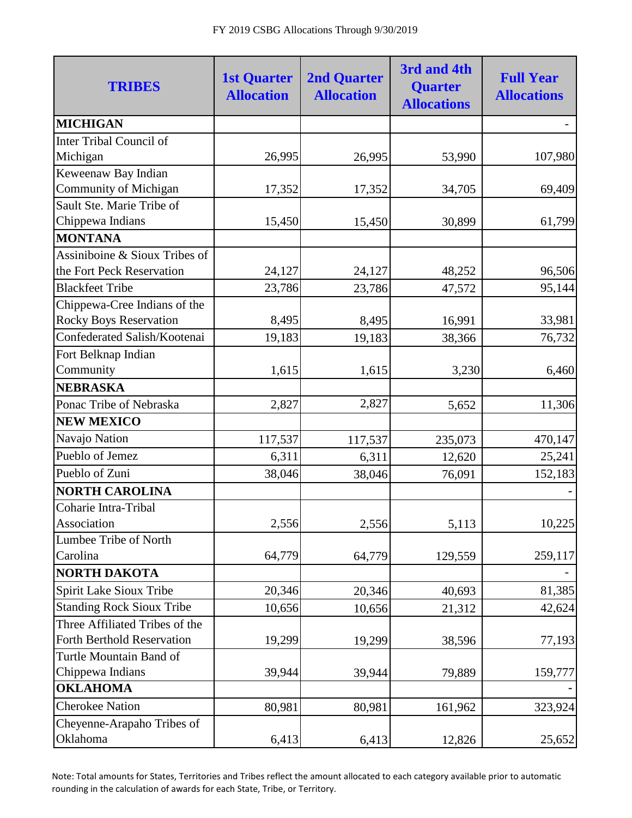| <b>TRIBES</b>                    | <b>1st Quarter</b><br><b>Allocation</b> | <b>2nd Quarter</b><br><b>Allocation</b> | 3rd and 4th<br><b>Quarter</b><br><b>Allocations</b> | <b>Full Year</b><br><b>Allocations</b> |
|----------------------------------|-----------------------------------------|-----------------------------------------|-----------------------------------------------------|----------------------------------------|
| <b>MICHIGAN</b>                  |                                         |                                         |                                                     |                                        |
| <b>Inter Tribal Council of</b>   |                                         |                                         |                                                     |                                        |
| Michigan                         | 26,995                                  | 26,995                                  | 53,990                                              | 107,980                                |
| Keweenaw Bay Indian              |                                         |                                         |                                                     |                                        |
| Community of Michigan            | 17,352                                  | 17,352                                  | 34,705                                              | 69,409                                 |
| Sault Ste. Marie Tribe of        |                                         |                                         |                                                     |                                        |
| Chippewa Indians                 | 15,450                                  | 15,450                                  | 30,899                                              | 61,799                                 |
| <b>MONTANA</b>                   |                                         |                                         |                                                     |                                        |
| Assiniboine & Sioux Tribes of    |                                         |                                         |                                                     |                                        |
| the Fort Peck Reservation        | 24,127                                  | 24,127                                  | 48,252                                              | 96,506                                 |
| <b>Blackfeet Tribe</b>           | 23,786                                  | 23,786                                  | 47,572                                              | 95,144                                 |
| Chippewa-Cree Indians of the     |                                         |                                         |                                                     |                                        |
| <b>Rocky Boys Reservation</b>    | 8,495                                   | 8,495                                   | 16,991                                              | 33,981                                 |
| Confederated Salish/Kootenai     | 19,183                                  | 19,183                                  | 38,366                                              | 76,732                                 |
| Fort Belknap Indian              |                                         |                                         |                                                     |                                        |
| Community                        | 1,615                                   | 1,615                                   | 3,230                                               | 6,460                                  |
| <b>NEBRASKA</b>                  |                                         |                                         |                                                     |                                        |
| Ponac Tribe of Nebraska          | 2,827                                   | 2,827                                   | 5,652                                               | 11,306                                 |
| <b>NEW MEXICO</b>                |                                         |                                         |                                                     |                                        |
| Navajo Nation                    | 117,537                                 | 117,537                                 | 235,073                                             | 470,147                                |
| Pueblo of Jemez                  | 6,311                                   | 6,311                                   | 12,620                                              | 25,241                                 |
| Pueblo of Zuni                   | 38,046                                  | 38,046                                  | 76,091                                              | 152,183                                |
| <b>NORTH CAROLINA</b>            |                                         |                                         |                                                     |                                        |
| Coharie Intra-Tribal             |                                         |                                         |                                                     |                                        |
| Association                      | 2,556                                   | 2,556                                   | 5,113                                               | 10,225                                 |
| Lumbee Tribe of North            |                                         |                                         |                                                     |                                        |
| Carolina                         | 64,779                                  | 64,779                                  | 129,559                                             | 259,117                                |
| NORTH DAKOTA                     |                                         |                                         |                                                     |                                        |
| Spirit Lake Sioux Tribe          | 20,346                                  | 20,346                                  | 40,693                                              | 81,385                                 |
| <b>Standing Rock Sioux Tribe</b> | 10,656                                  | 10,656                                  | 21,312                                              | 42,624                                 |
| Three Affiliated Tribes of the   |                                         |                                         |                                                     |                                        |
| Forth Berthold Reservation       | 19,299                                  | 19,299                                  | 38,596                                              | 77,193                                 |
| Turtle Mountain Band of          |                                         |                                         |                                                     |                                        |
| Chippewa Indians                 | 39,944                                  | 39,944                                  | 79,889                                              | 159,777                                |
| <b>OKLAHOMA</b>                  |                                         |                                         |                                                     |                                        |
| <b>Cherokee Nation</b>           | 80,981                                  | 80,981                                  | 161,962                                             | 323,924                                |
| Cheyenne-Arapaho Tribes of       |                                         |                                         |                                                     |                                        |
| Oklahoma                         | 6,413                                   | 6,413                                   | 12,826                                              | 25,652                                 |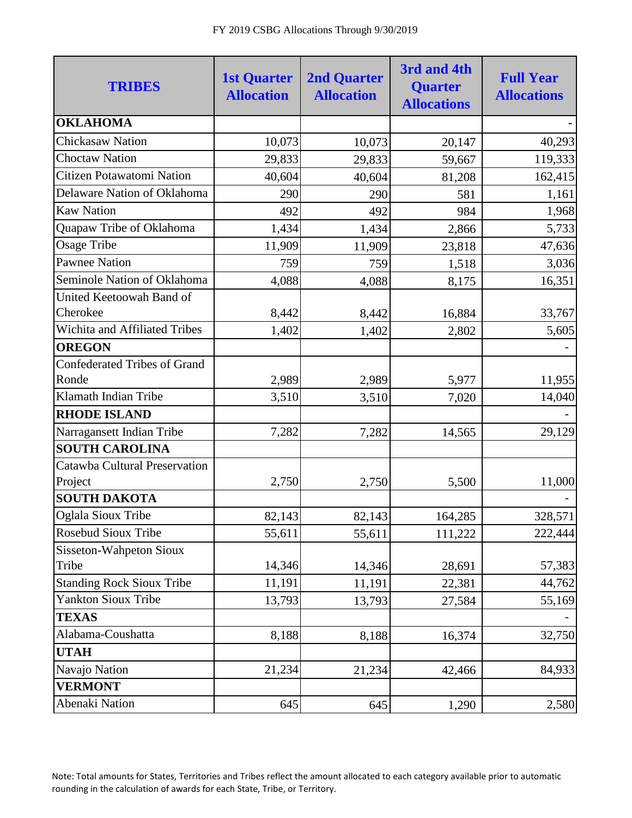| <b>TRIBES</b>                        | <b>1st Quarter</b><br><b>Allocation</b> | <b>2nd Quarter</b><br><b>Allocation</b> | 3rd and 4th<br><b>Quarter</b><br><b>Allocations</b> | <b>Full Year</b><br><b>Allocations</b> |
|--------------------------------------|-----------------------------------------|-----------------------------------------|-----------------------------------------------------|----------------------------------------|
| <b>OKLAHOMA</b>                      |                                         |                                         |                                                     |                                        |
| <b>Chickasaw Nation</b>              | 10,073                                  | 10,073                                  | 20,147                                              | 40,293                                 |
| <b>Choctaw Nation</b>                | 29,833                                  | 29,833                                  | 59,667                                              | 119,333                                |
| Citizen Potawatomi Nation            | 40,604                                  | 40,604                                  | 81,208                                              | 162,415                                |
| Delaware Nation of Oklahoma          | 290                                     | 290                                     | 581                                                 | 1,161                                  |
| <b>Kaw Nation</b>                    | 492                                     | 492                                     | 984                                                 | 1,968                                  |
| Quapaw Tribe of Oklahoma             | 1,434                                   | 1,434                                   | 2,866                                               | 5,733                                  |
| <b>Osage Tribe</b>                   | 11,909                                  | 11,909                                  | 23,818                                              | 47,636                                 |
| <b>Pawnee Nation</b>                 | 759                                     | 759                                     | 1,518                                               | 3,036                                  |
| Seminole Nation of Oklahoma          | 4,088                                   | 4,088                                   | 8,175                                               | 16,351                                 |
| United Keetoowah Band of             |                                         |                                         |                                                     |                                        |
| Cherokee                             | 8,442                                   | 8,442                                   | 16,884                                              | 33,767                                 |
| <b>Wichita and Affiliated Tribes</b> | 1,402                                   | 1,402                                   | 2,802                                               | 5,605                                  |
| <b>OREGON</b>                        |                                         |                                         |                                                     |                                        |
| <b>Confederated Tribes of Grand</b>  |                                         |                                         |                                                     |                                        |
| Ronde                                | 2,989                                   | 2,989                                   | 5,977                                               | 11,955                                 |
| Klamath Indian Tribe                 | 3,510                                   | 3,510                                   | 7,020                                               | 14,040                                 |
| <b>RHODE ISLAND</b>                  |                                         |                                         |                                                     |                                        |
| Narragansett Indian Tribe            | 7,282                                   | 7,282                                   | 14,565                                              | 29,129                                 |
| <b>SOUTH CAROLINA</b>                |                                         |                                         |                                                     |                                        |
| Catawba Cultural Preservation        |                                         |                                         |                                                     |                                        |
| Project                              | 2,750                                   | 2,750                                   | 5,500                                               | 11,000                                 |
| <b>SOUTH DAKOTA</b>                  |                                         |                                         |                                                     |                                        |
| Oglala Sioux Tribe                   | 82,143                                  | 82,143                                  | 164,285                                             | 328,571                                |
| Rosebud Sioux Tribe                  | 55,611                                  | 55,611                                  | 111,222                                             | 222,444                                |
| <b>Sisseton-Wahpeton Sioux</b>       |                                         |                                         |                                                     |                                        |
| Tribe                                | 14,346                                  | 14,346                                  | 28,691                                              | 57,383                                 |
| <b>Standing Rock Sioux Tribe</b>     | 11,191                                  | 11,191                                  | 22,381                                              | 44,762                                 |
| <b>Yankton Sioux Tribe</b>           | 13,793                                  | 13,793                                  | 27,584                                              | 55,169                                 |
| <b>TEXAS</b>                         |                                         |                                         |                                                     |                                        |
| Alabama-Coushatta                    | 8,188                                   | 8,188                                   | 16,374                                              | 32,750                                 |
| <b>UTAH</b>                          |                                         |                                         |                                                     |                                        |
| Navajo Nation                        | 21,234                                  | 21,234                                  | 42,466                                              | 84,933                                 |
| <b>VERMONT</b>                       |                                         |                                         |                                                     |                                        |
| Abenaki Nation                       | 645                                     | 645                                     | 1,290                                               | 2,580                                  |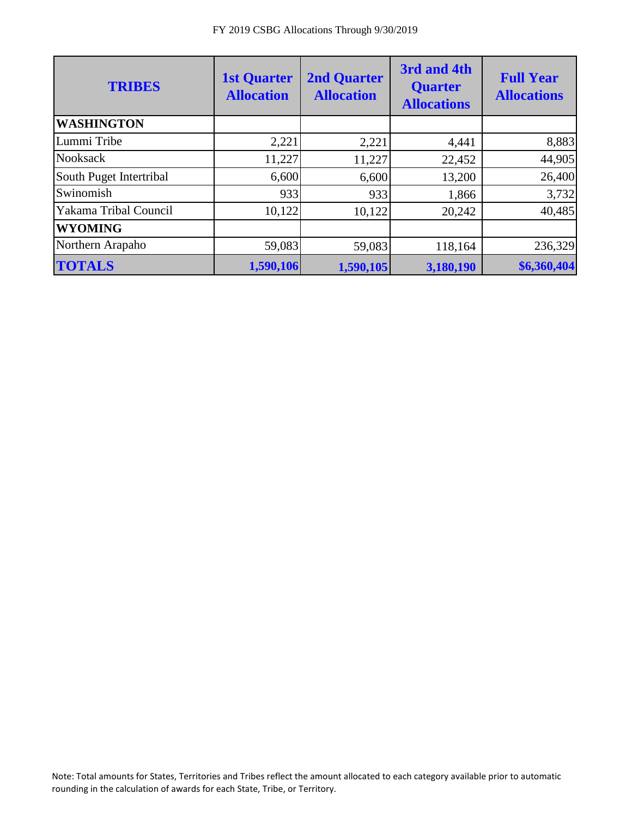| <b>TRIBES</b>           | <b>1st Quarter</b><br><b>Allocation</b> | <b>2nd Quarter</b><br><b>Allocation</b> | 3rd and 4th<br><b>Quarter</b><br><b>Allocations</b> | <b>Full Year</b><br><b>Allocations</b> |
|-------------------------|-----------------------------------------|-----------------------------------------|-----------------------------------------------------|----------------------------------------|
| <b>WASHINGTON</b>       |                                         |                                         |                                                     |                                        |
| Lummi Tribe             | 2,221                                   | 2,221                                   | 4,441                                               | 8,883                                  |
| <b>Nooksack</b>         | 11,227                                  | 11,227                                  | 22,452                                              | 44,905                                 |
| South Puget Intertribal | 6,600                                   | 6,600                                   | 13,200                                              | 26,400                                 |
| Swinomish               | 933                                     | 933                                     | 1,866                                               | 3,732                                  |
| Yakama Tribal Council   | 10,122                                  | 10,122                                  | 20,242                                              | 40,485                                 |
| <b>WYOMING</b>          |                                         |                                         |                                                     |                                        |
| Northern Arapaho        | 59,083                                  | 59,083                                  | 118,164                                             | 236,329                                |
| <b>TOTALS</b>           | 1,590,106                               | 1,590,105                               | 3,180,190                                           | \$6,360,404                            |